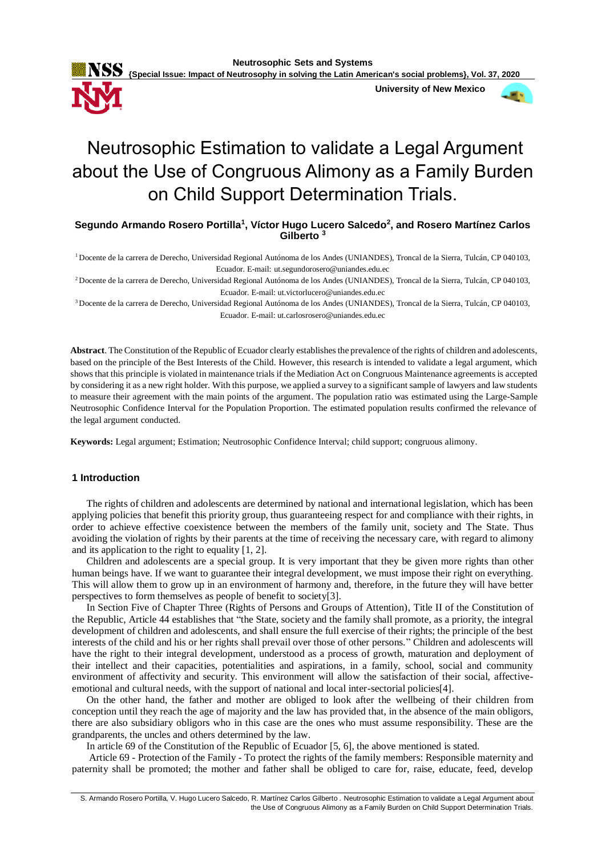

 **University of New Mexico**



# Neutrosophic Estimation to validate a Legal Argument about the Use of Congruous Alimony as a Family Burden on Child Support Determination Trials.

**Segundo Armando Rosero Portilla<sup>1</sup> , Víctor Hugo Lucero Salcedo<sup>2</sup> , and Rosero Martínez Carlos Gilberto <sup>3</sup>**

<sup>1</sup>Docente de la carrera de Derecho, Universidad Regional Autónoma de los Andes (UNIANDES), Troncal de la Sierra, Tulcán, CP 040103, Ecuador. E-mail: ut.segundorosero@uniandes.edu.ec

<sup>2</sup>Docente de la carrera de Derecho, Universidad Regional Autónoma de los Andes (UNIANDES), Troncal de la Sierra, Tulcán, CP 040103, Ecuador. E-mail: ut.victorlucero@uniandes.edu.ec

<sup>3</sup>Docente de la carrera de Derecho, Universidad Regional Autónoma de los Andes (UNIANDES), Troncal de la Sierra, Tulcán, CP 040103, Ecuador. E-mail: ut.carlosrosero@uniandes.edu.ec

**Abstract**. The Constitution of the Republic of Ecuador clearly establishes the prevalence of the rights of children and adolescents, based on the principle of the Best Interests of the Child. However, this research is intended to validate a legal argument, which shows that this principle is violated in maintenance trials if the Mediation Act on Congruous Maintenance agreements is accepted by considering it as a new right holder. With this purpose, we applied a survey to a significant sample of lawyers and law students to measure their agreement with the main points of the argument. The population ratio was estimated using the Large-Sample Neutrosophic Confidence Interval for the Population Proportion. The estimated population results confirmed the relevance of the legal argument conducted.

**Keywords:** Legal argument; Estimation; Neutrosophic Confidence Interval; child support; congruous alimony.

### **1 Introduction**

The rights of children and adolescents are determined by national and international legislation, which has been applying policies that benefit this priority group, thus guaranteeing respect for and compliance with their rights, in order to achieve effective coexistence between the members of the family unit, society and The State. Thus avoiding the violation of rights by their parents at the time of receiving the necessary care, with regard to alimony and its application to the right to equality [1, 2].

Children and adolescents are a special group. It is very important that they be given more rights than other human beings have. If we want to guarantee their integral development, we must impose their right on everything. This will allow them to grow up in an environment of harmony and, therefore, in the future they will have better perspectives to form themselves as people of benefit to society[3].

In Section Five of Chapter Three (Rights of Persons and Groups of Attention), Title II of the Constitution of the Republic, Article 44 establishes that "the State, society and the family shall promote, as a priority, the integral development of children and adolescents, and shall ensure the full exercise of their rights; the principle of the best interests of the child and his or her rights shall prevail over those of other persons." Children and adolescents will have the right to their integral development, understood as a process of growth, maturation and deployment of their intellect and their capacities, potentialities and aspirations, in a family, school, social and community environment of affectivity and security. This environment will allow the satisfaction of their social, affectiveemotional and cultural needs, with the support of national and local inter-sectorial policies[4].

On the other hand, the father and mother are obliged to look after the wellbeing of their children from conception until they reach the age of majority and the law has provided that, in the absence of the main obligors, there are also subsidiary obligors who in this case are the ones who must assume responsibility. These are the grandparents, the uncles and others determined by the law.

In article 69 of the Constitution of the Republic of Ecuador [5, 6], the above mentioned is stated.

Article 69 - Protection of the Family - To protect the rights of the family members: Responsible maternity and paternity shall be promoted; the mother and father shall be obliged to care for, raise, educate, feed, develop

S. Armando Rosero Portilla, V. Hugo Lucero Salcedo, R. Martínez Carlos Gilberto . Neutrosophic Estimation to validate a Legal Argument about the Use of Congruous Alimony as a Family Burden on Child Support Determination Trials.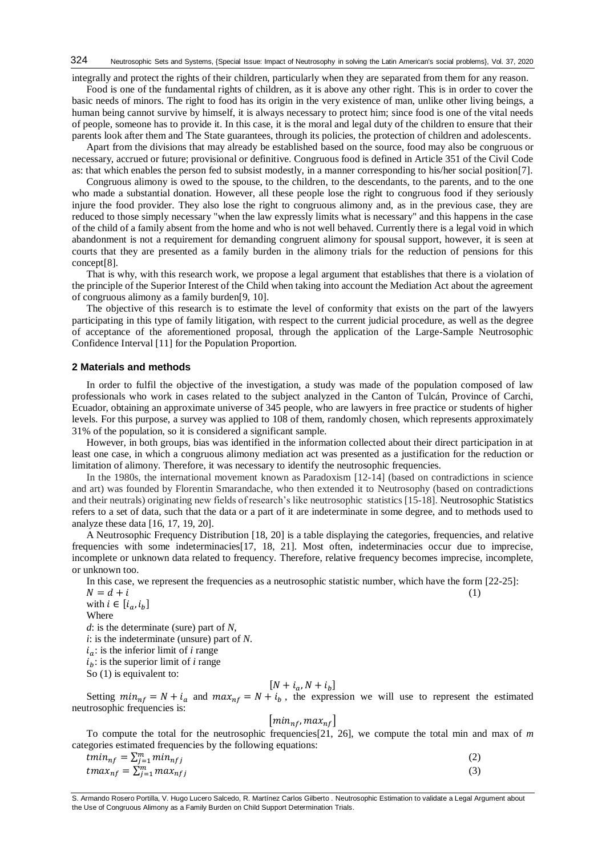integrally and protect the rights of their children, particularly when they are separated from them for any reason.

Food is one of the fundamental rights of children, as it is above any other right. This is in order to cover the basic needs of minors. The right to food has its origin in the very existence of man, unlike other living beings, a human being cannot survive by himself, it is always necessary to protect him; since food is one of the vital needs of people, someone has to provide it. In this case, it is the moral and legal duty of the children to ensure that their parents look after them and The State guarantees, through its policies, the protection of children and adolescents.

Apart from the divisions that may already be established based on the source, food may also be congruous or necessary, accrued or future; provisional or definitive. Congruous food is defined in Article 351 of the Civil Code as: that which enables the person fed to subsist modestly, in a manner corresponding to his/her social position[7].

Congruous alimony is owed to the spouse, to the children, to the descendants, to the parents, and to the one who made a substantial donation. However, all these people lose the right to congruous food if they seriously injure the food provider. They also lose the right to congruous alimony and, as in the previous case, they are reduced to those simply necessary "when the law expressly limits what is necessary" and this happens in the case of the child of a family absent from the home and who is not well behaved. Currently there is a legal void in which abandonment is not a requirement for demanding congruent alimony for spousal support, however, it is seen at courts that they are presented as a family burden in the alimony trials for the reduction of pensions for this concept[8].

That is why, with this research work, we propose a legal argument that establishes that there is a violation of the principle of the Superior Interest of the Child when taking into account the Mediation Act about the agreement of congruous alimony as a family burden[9, 10].

The objective of this research is to estimate the level of conformity that exists on the part of the lawyers participating in this type of family litigation, with respect to the current judicial procedure, as well as the degree of acceptance of the aforementioned proposal, through the application of the Large-Sample Neutrosophic Confidence Interval [11] for the Population Proportion.

#### **2 Materials and methods**

In order to fulfil the objective of the investigation, a study was made of the population composed of law professionals who work in cases related to the subject analyzed in the Canton of Tulcán, Province of Carchi, Ecuador, obtaining an approximate universe of 345 people, who are lawyers in free practice or students of higher levels. For this purpose, a survey was applied to 108 of them, randomly chosen, which represents approximately 31% of the population, so it is considered a significant sample.

However, in both groups, bias was identified in the information collected about their direct participation in at least one case, in which a congruous alimony mediation act was presented as a justification for the reduction or limitation of alimony. Therefore, it was necessary to identify the neutrosophic frequencies.

In the 1980s, the international movement known as Paradoxism [12-14] (based on contradictions in science and art) was founded by Florentin Smarandache, who then extended it to Neutrosophy (based on contradictions and their neutrals) originating new fields of research's like neutrosophic statistics [15-18]. Neutrosophic Statistics refers to a set of data, such that the data or a part of it are indeterminate in some degree, and to methods used to analyze these data [16, 17, 19, 20].

A Neutrosophic Frequency Distribution [18, 20] is a table displaying the categories, frequencies, and relative frequencies with some indeterminacies[17, 18, 21]. Most often, indeterminacies occur due to imprecise, incomplete or unknown data related to frequency. Therefore, relative frequency becomes imprecise, incomplete, or unknown too.

In this case, we represent the frequencies as a neutrosophic statistic number, which have the form [22-25]:

 $N = d + i$  (1) with  $i \in [i_a, i_b]$ 

Where

*d*: is the determinate (sure) part of *N*,

*i*: is the indeterminate (unsure) part of *N*.

 $i_a$ : is the inferior limit of *i* range

 $i_h$ : is the superior limit of *i* range

So  $(1)$  is equivalent to:

# $[N + i_a, N + i_b]$

Setting  $min_{nf} = N + i_a$  and  $max_{nf} = N + i_b$ , the expression we will use to represent the estimated neutrosophic frequencies is:

## $\left[ min_{nf} , max_{nf} \right]$

To compute the total for the neutrosophic frequencies[21, 26], we compute the total min and max of *m* categories estimated frequencies by the following equations:

$$
tmin_{nf} = \sum_{j=1}^{m} min_{nfj}
$$
  
\n
$$
tmax_{nf} = \sum_{j=1}^{m} max_{nfj}
$$
 (2)

S. Armando Rosero Portilla, V. Hugo Lucero Salcedo, R. Martínez Carlos Gilberto . Neutrosophic Estimation to validate a Legal Argument about the Use of Congruous Alimony as a Family Burden on Child Support Determination Trials.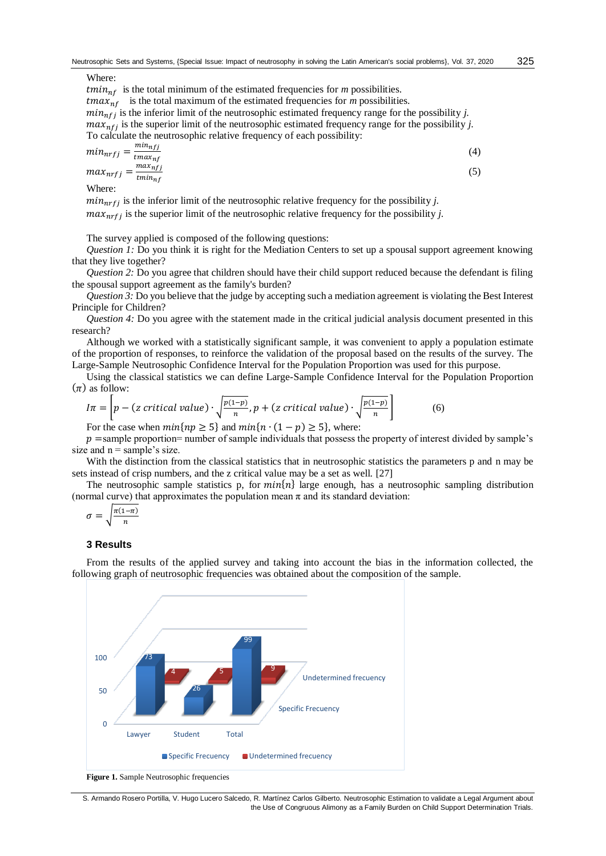Where:

 $tmin_{nf}$  is the total minimum of the estimated frequencies for *m* possibilities.  $tmax_{nf}$  is the total maximum of the estimated frequencies for *m* possibilities.  $min_{n \neq j}$  is the inferior limit of the neutrosophic estimated frequency range for the possibility *j*.  $max_{n \leq j}$  is the superior limit of the neutrosophic estimated frequency range for the possibility *j*. To calculate the neutrosophic relative frequency of each possibility:  $min_{nrfi} =$  $min_{nfj}$  $\overline{t}$ max<sub>nf</sub> (4)  $max_{nrfj} = \frac{max_{nffj}}{t_{minofj}}$  $tmin_{nf}$ (5) Where:

 $min_{n \leq j}$  is the inferior limit of the neutrosophic relative frequency for the possibility *j*.

 $max_{n \in \mathcal{I}}$  is the superior limit of the neutrosophic relative frequency for the possibility *j*.

The survey applied is composed of the following questions:

*Question 1:* Do you think it is right for the Mediation Centers to set up a spousal support agreement knowing that they live together?

*Question 2:* Do you agree that children should have their child support reduced because the defendant is filing the spousal support agreement as the family's burden?

*Question 3:* Do you believe that the judge by accepting such a mediation agreement is violating the Best Interest Principle for Children?

*Question 4:* Do you agree with the statement made in the critical judicial analysis document presented in this research?

Although we worked with a statistically significant sample, it was convenient to apply a population estimate of the proportion of responses, to reinforce the validation of the proposal based on the results of the survey. The Large-Sample Neutrosophic Confidence Interval for the Population Proportion was used for this purpose.

Using the classical statistics we can define Large-Sample Confidence Interval for the Population Proportion  $(\pi)$  as follow:

$$
I\pi = \left[ p - (z \text{ critical value}) \cdot \sqrt{\frac{p(1-p)}{n}}, p + (z \text{ critical value}) \cdot \sqrt{\frac{p(1-p)}{n}} \right]
$$
(6)

For the case when  $min\{np \ge 5\}$  and  $min\{n \cdot (1 - p) \ge 5\}$ , where:

 $p =$ sample proportion= number of sample individuals that possess the property of interest divided by sample's size and  $n =$  sample's size.

With the distinction from the classical statistics that in neutrosophic statistics the parameters p and n may be sets instead of crisp numbers, and the z critical value may be a set as well. [27]

The neutrosophic sample statistics p, for  $min\{n\}$  large enough, has a neutrosophic sampling distribution (normal curve) that approximates the population mean  $\pi$  and its standard deviation:

$$
\sigma = \sqrt{\frac{\pi(1-\pi)}{n}}
$$

#### **3 Results**

From the results of the applied survey and taking into account the bias in the information collected, the following graph of neutrosophic frequencies was obtained about the composition of the sample.



**Figure 1.** Sample Neutrosophic frequencies

S. Armando Rosero Portilla, V. Hugo Lucero Salcedo, R. Martínez Carlos Gilberto. Neutrosophic Estimation to validate a Legal Argument about the Use of Congruous Alimony as a Family Burden on Child Support Determination Trials.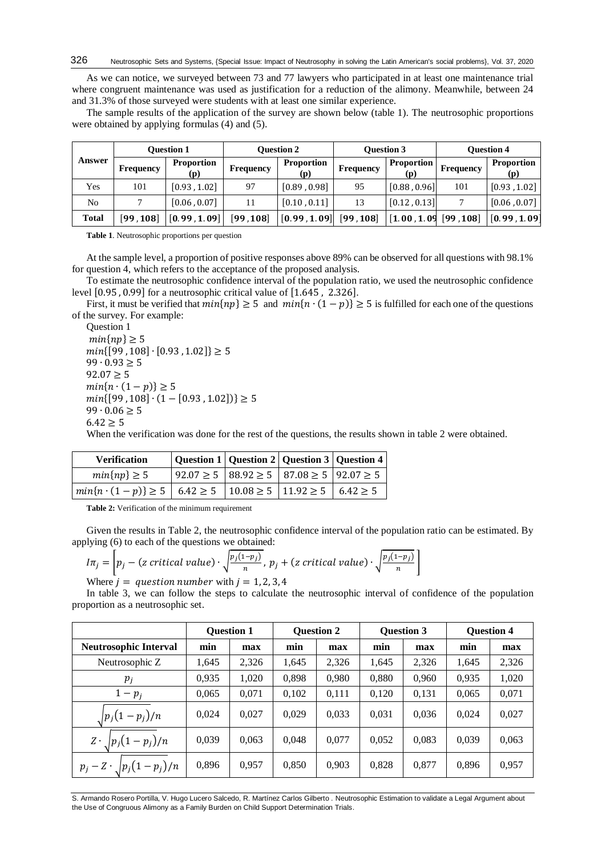As we can notice, we surveyed between 73 and 77 lawyers who participated in at least one maintenance trial where congruent maintenance was used as justification for a reduction of the alimony. Meanwhile, between 24 and 31.3% of those surveyed were students with at least one similar experience.

The sample results of the application of the survey are shown below (table 1). The neutrosophic proportions were obtained by applying formulas (4) and (5).

| Answer       | <b>Ouestion 1</b> |                          | <b>Ouestion 2</b> |                          |           | <b>Ouestion 3</b>        | <b>Ouestion 4</b> |                          |
|--------------|-------------------|--------------------------|-------------------|--------------------------|-----------|--------------------------|-------------------|--------------------------|
|              | Frequency         | <b>Proportion</b><br>(p) | Frequency         | <b>Proportion</b><br>(p) | Frequency | <b>Proportion</b><br>(p) | Frequency         | <b>Proportion</b><br>(p) |
| Yes          | 101               | [0.93, 1.02]             | 97                | [0.89, 0.98]             | 95        | [0.88, 0.96]             | 101               | [0.93, 1.02]             |
| No           |                   | [0.06, 0.07]             | 11                | [0.10, 0.11]             | 13        | [0.12, 0.13]             | 7                 | [0.06, 0.07]             |
| <b>Total</b> | [99, 108]         | [0.99, 1.09]             | [99, 108]         | [0.99, 1.09]             | [99, 108] | [1.00, 1.09, 99, 108]    |                   | [0.99, 1.09]             |

**Table 1**. Neutrosophic proportions per question

At the sample level, a proportion of positive responses above 89% can be observed for all questions with 98.1% for question 4, which refers to the acceptance of the proposed analysis.

To estimate the neutrosophic confidence interval of the population ratio, we used the neutrosophic confidence level [0.95 , 0.99] for a neutrosophic critical value of [1.645 , 2.326].

First, it must be verified that  $min\{ np \} \ge 5$  and  $min\{ n \cdot (1 - p) \} \ge 5$  is fulfilled for each one of the questions of the survey. For example:

Question 1  $min\{np\} \geq 5$  $min\{[99, 108] \cdot [0.93, 1.02]\} \ge 5$  $99 \cdot 0.93 > 5$  $92.07 > 5$  $min\{n\cdot(1-p)\}\geq 5$  $min\{[99, 108] \cdot (1 - [0.93, 1.02])\} \ge 5$ 99  $\cdot$  0.06 ≥ 5  $6.42 > 5$ 

When the verification was done for the rest of the questions, the results shown in table 2 were obtained.

| <b>Verification</b>                                                                                             | Question 1   Question 2   Question 3   Question 4                |  |  |
|-----------------------------------------------------------------------------------------------------------------|------------------------------------------------------------------|--|--|
| $min\{np\} \geq 5$                                                                                              | $92.07 \ge 5 \mid 88.92 \ge 5 \mid 87.08 \ge 5 \mid 92.07 \ge 5$ |  |  |
| $\left  min\{n \cdot (1-p)\}\ge 5 \right $ 6.42 $\ge 5$ $\left  10.08 \ge 5 \right $ 11.92 $\ge 5$ 6.42 $\ge 5$ |                                                                  |  |  |

**Table 2:** Verification of the minimum requirement

Given the results in Table 2, the neutrosophic confidence interval of the population ratio can be estimated. By applying (6) to each of the questions we obtained:

$$
I\pi_j = \left[ p_j - (z \text{ critical value}) \cdot \sqrt{\frac{p_j(1-p_j)}{n}}, \ p_j + (z \text{ critical value}) \cdot \sqrt{\frac{p_j(1-p_j)}{n}} \right]
$$
\nWhen  $j =$  question numbers with  $j = 1, 2, 3, 4$ .

Where  $j =$  question number with  $j = 1, 2, 3, 4$ 

In table 3, we can follow the steps to calculate the neutrosophic interval of confidence of the population proportion as a neutrosophic set.

|                                     |       | <b>Ouestion 1</b> |       | <b>Ouestion 2</b> | <b>Ouestion 3</b> |       | <b>Ouestion 4</b> |       |
|-------------------------------------|-------|-------------------|-------|-------------------|-------------------|-------|-------------------|-------|
| <b>Neutrosophic Interval</b>        | min   | max               | min   | max               | min               | max   | min               | max   |
| Neutrosophic Z                      | 1,645 | 2,326             | 1,645 | 2,326             | 1,645             | 2,326 | 1,645             | 2,326 |
| $p_i$                               | 0,935 | 1,020             | 0,898 | 0,980             | 0,880             | 0,960 | 0,935             | 1,020 |
| $1-p_i$                             | 0,065 | 0,071             | 0,102 | 0,111             | 0,120             | 0,131 | 0,065             | 0,071 |
| $\sqrt{p_j(1-p_j)/n}$               | 0.024 | 0.027             | 0.029 | 0,033             | 0,031             | 0.036 | 0.024             | 0,027 |
| $Z \cdot \sqrt{p_j(1-p_j)/n}$       | 0.039 | 0,063             | 0,048 | 0.077             | 0,052             | 0.083 | 0,039             | 0,063 |
| $p_j - Z \cdot \sqrt{p_j(1-p_j)/n}$ | 0,896 | 0,957             | 0,850 | 0,903             | 0,828             | 0,877 | 0,896             | 0,957 |

S. Armando Rosero Portilla, V. Hugo Lucero Salcedo, R. Martínez Carlos Gilberto . Neutrosophic Estimation to validate a Legal Argument about the Use of Congruous Alimony as a Family Burden on Child Support Determination Trials.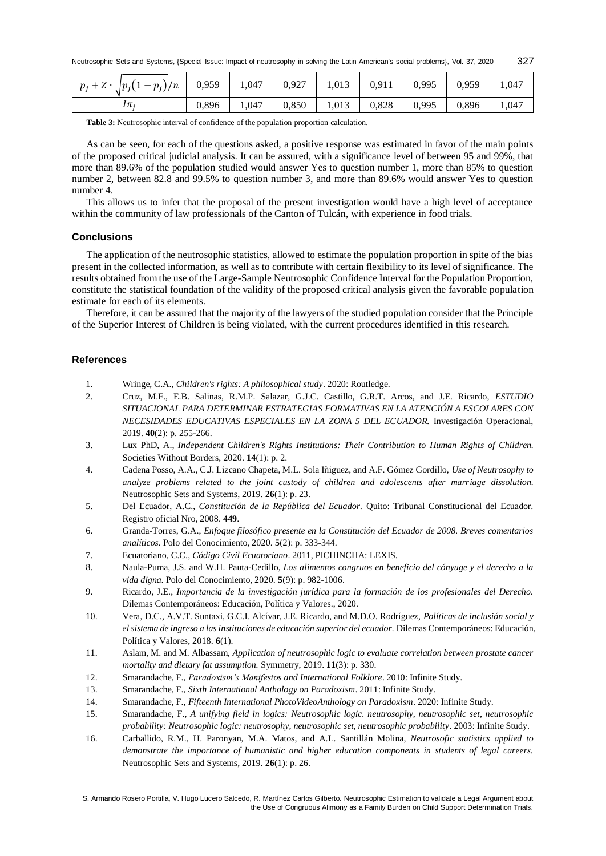| $p_j + Z \cdot \int p_j(1-p_j)/n \mid 0.959 \mid 1.047 \mid 0.927 \mid 1.013 \mid 0.911 \mid 0.995 \mid 0.959$ |       |       |       |       |               |       | 1,047 |
|----------------------------------------------------------------------------------------------------------------|-------|-------|-------|-------|---------------|-------|-------|
| lπ;                                                                                                            | 0.896 | 1.047 | 0,850 | 1,013 | $0,828$ 0.995 | 0,896 | 1.047 |

Table 3: Neutrosophic interval of confidence of the population proportion calculation.

As can be seen, for each of the questions asked, a positive response was estimated in favor of the main points of the proposed critical judicial analysis. It can be assured, with a significance level of between 95 and 99%, that more than 89.6% of the population studied would answer Yes to question number 1, more than 85% to question number 2, between 82.8 and 99.5% to question number 3, and more than 89.6% would answer Yes to question number 4.

This allows us to infer that the proposal of the present investigation would have a high level of acceptance within the community of law professionals of the Canton of Tulcán, with experience in food trials.

### **Conclusions**

The application of the neutrosophic statistics, allowed to estimate the population proportion in spite of the bias present in the collected information, as well as to contribute with certain flexibility to its level of significance. The results obtained from the use of the Large-Sample Neutrosophic Confidence Interval for the Population Proportion, constitute the statistical foundation of the validity of the proposed critical analysis given the favorable population estimate for each of its elements.

Therefore, it can be assured that the majority of the lawyers of the studied population consider that the Principle of the Superior Interest of Children is being violated, with the current procedures identified in this research.

### **References**

- 1. Wringe, C.A., *Children's rights: A philosophical study*. 2020: Routledge.
- 2. Cruz, M.F., E.B. Salinas, R.M.P. Salazar, G.J.C. Castillo, G.R.T. Arcos, and J.E. Ricardo, *ESTUDIO SITUACIONAL PARA DETERMINAR ESTRATEGIAS FORMATIVAS EN LA ATENCIÓN A ESCOLARES CON NECESIDADES EDUCATIVAS ESPECIALES EN LA ZONA 5 DEL ECUADOR.* Investigación Operacional, 2019. **40**(2): p. 255-266.
- 3. Lux PhD, A., *Independent Children's Rights Institutions: Their Contribution to Human Rights of Children.* Societies Without Borders, 2020. **14**(1): p. 2.
- 4. Cadena Posso, A.A., C.J. Lizcano Chapeta, M.L. Sola Iñiguez, and A.F. Gómez Gordillo, *Use of Neutrosophy to analyze problems related to the joint custody of children and adolescents after marriage dissolution.* Neutrosophic Sets and Systems, 2019. **26**(1): p. 23.
- 5. Del Ecuador, A.C., *Constitución de la República del Ecuador.* Quito: Tribunal Constitucional del Ecuador. Registro oficial Nro, 2008. **449**.
- 6. Granda-Torres, G.A., *Enfoque filosófico presente en la Constitución del Ecuador de 2008. Breves comentarios analíticos.* Polo del Conocimiento, 2020. **5**(2): p. 333-344.
- 7. Ecuatoriano, C.C., *Código Civil Ecuatoriano*. 2011, PICHINCHA: LEXIS.
- 8. Naula-Puma, J.S. and W.H. Pauta-Cedillo, *Los alimentos congruos en beneficio del cónyuge y el derecho a la vida digna.* Polo del Conocimiento, 2020. **5**(9): p. 982-1006.
- 9. Ricardo, J.E., *Importancia de la investigación jurídica para la formación de los profesionales del Derecho.* Dilemas Contemporáneos: Educación, Política y Valores., 2020.
- 10. Vera, D.C., A.V.T. Suntaxi, G.C.I. Alcívar, J.E. Ricardo, and M.D.O. Rodríguez, *Políticas de inclusión social y el sistema de ingreso a las instituciones de educación superior del ecuador.* Dilemas Contemporáneos: Educación, Política y Valores, 2018. **6**(1).
- 11. Aslam, M. and M. Albassam, *Application of neutrosophic logic to evaluate correlation between prostate cancer mortality and dietary fat assumption.* Symmetry, 2019. **11**(3): p. 330.
- 12. Smarandache, F., *Paradoxism's Manifestos and International Folklore*. 2010: Infinite Study.
- 13. Smarandache, F., *Sixth International Anthology on Paradoxism*. 2011: Infinite Study.
- 14. Smarandache, F., *Fifteenth International PhotoVideoAnthology on Paradoxism*. 2020: Infinite Study.
- 15. Smarandache, F., *A unifying field in logics: Neutrosophic logic. neutrosophy, neutrosophic set, neutrosophic probability: Neutrosophic logic: neutrosophy, neutrosophic set, neutrosophic probability*. 2003: Infinite Study.
- 16. Carballido, R.M., H. Paronyan, M.A. Matos, and A.L. Santillán Molina, *Neutrosofic statistics applied to demonstrate the importance of humanistic and higher education components in students of legal careers.* Neutrosophic Sets and Systems, 2019. **26**(1): p. 26.

S. Armando Rosero Portilla, V. Hugo Lucero Salcedo, R. Martínez Carlos Gilberto. Neutrosophic Estimation to validate a Legal Argument about the Use of Congruous Alimony as a Family Burden on Child Support Determination Trials.